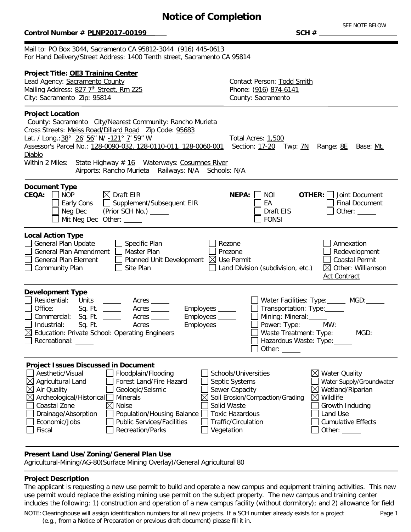# **Notice of Completion**

### $Control$  **Number # PLNP2017-00199**

SEE NOTE BELOW

Mail to: PO Box 3044, Sacramento CA 95812-3044 (916) 445-0613 For Hand Delivery/Street Address: 1400 Tenth street, Sacramento CA 95814

| Project Title: OE3 Training Center<br>Lead Agency: Sacramento County<br>Mailing Address: 827 7th Street, Rm 225<br>City: Sacramento Zip: 95814                                                                                                                                                                                                                                                                                                                                                                       | Contact Person: Todd Smith<br>Phone: (916) 874-6141<br>County: Sacramento                                                                                                                                                                                                                                                                                            |
|----------------------------------------------------------------------------------------------------------------------------------------------------------------------------------------------------------------------------------------------------------------------------------------------------------------------------------------------------------------------------------------------------------------------------------------------------------------------------------------------------------------------|----------------------------------------------------------------------------------------------------------------------------------------------------------------------------------------------------------------------------------------------------------------------------------------------------------------------------------------------------------------------|
| <b>Project Location</b><br>County: Sacramento City/Nearest Community: Rancho Murieta<br>Cross Streets: Meiss Road/Dillard Road Zip Code: 95683<br>Lat. / Long.: 38° 26' 56" N/ -121° 7' 59" W<br>Assessor's Parcel No.: 128-0090-032, 128-0110-011, 128-0060-001<br><b>Diablo</b><br>Within 2 Miles: State Highway $# 16$ Waterways: Cosumnes River<br>Airports: Rancho Murieta Railways: N/A Schools: N/A                                                                                                           | Total Acres: 1,500<br>Section: 17-20 Twp: 7N Range: 8E Base: Mt.                                                                                                                                                                                                                                                                                                     |
| <b>Document Type</b><br>$\boxtimes$ Draft EIR<br><b>CEQA:</b><br><b>NOP</b><br>Supplement/Subsequent EIR<br>Early Cons<br>Neg Dec<br>(Prior SCH No.) ______<br>Mit Neg Dec Other: _____                                                                                                                                                                                                                                                                                                                              | <b>OTHER:</b>   Joint Document<br>NEPA:  <br>NOI<br>EA<br><b>Final Document</b><br>Draft EIS<br>Other: $\_\_$<br><b>FONSI</b>                                                                                                                                                                                                                                        |
| <b>Local Action Type</b><br>Specific Plan<br>General Plan Update<br><b>General Plan Amendment</b><br>Master Plan<br>Planned Unit Development $\boxtimes$ Use Permit<br><b>General Plan Element</b><br>Community Plan<br>Site Plan                                                                                                                                                                                                                                                                                    | Annexation<br>Rezone<br>Prezone<br>Redevelopment<br><b>Coastal Permit</b><br>Land Division (subdivision, etc.)<br>⊠ Other: Williamson<br><b>Act Contract</b>                                                                                                                                                                                                         |
| <b>Development Type</b><br>Residential:<br>Water Facilities: Type: MGD:<br>Acres<br>Office:<br>Acres<br>Employees _____<br>Transportation: Type: ______<br>Sq. Ft.<br>Commercial: Sq. Ft. _____<br>Employees _____<br>Mining: Mineral: _____<br>Acres<br>Power: Type:______ MW:_____<br>Industrial:<br>Sq. Ft.<br>Acres<br>Employees _____<br>Waste Treatment: Type: _____ MGD: ____<br>$\boxtimes$ Education: Private School: Operating Engineers<br>Recreational: ______<br>Hazardous Waste: Type:<br>Other: _____ |                                                                                                                                                                                                                                                                                                                                                                      |
| <b>Project Issues Discussed in Document</b><br>Aesthetic/Visual<br>Floodplain/Flooding<br>Forest Land/Fire Hazard<br>Agricultural Land<br>Air Quality<br>Geologic/Seismic<br>Archeological/Historical<br><b>Minerals</b><br>Coastal Zone<br>$\times$<br>Noise<br>Drainage/Absorption<br>Population/Housing Balance<br><b>Public Services/Facilities</b><br>Economic/Jobs<br>Recreation/Parks<br>Fiscal<br>Vegetation                                                                                                 | Schools/Universities<br>$\boxtimes$<br><b>Water Quality</b><br>Water Supply/Groundwater<br>Septic Systems<br>Sewer Capacity<br>Wetland/Riparian<br>⋉<br>Soil Erosion/Compaction/Grading<br>$\bowtie$<br>Wildlife<br>Solid Waste<br>Growth Inducing<br><b>Toxic Hazardous</b><br>Land Use<br>Traffic/Circulation<br><b>Cumulative Effects</b><br>Other: $\mathbf{\_}$ |

## **Present Land Use/Zoning/General Plan Use**

Agricultural-Mining/AG-80(Surface Mining Overlay)/General Agricultural 80

### **Project Description**

The applicant is requesting a new use permit to build and operate a new campus and equipment training activities. This new use permit would replace the existing mining use permit on the subject property. The new campus and training center includes the following: 1) construction and operation of a new campus facility (without dormitory); and 2) allowance for field

NOTE:Clearinghouse will assign identification numbers for all new projects. If a SCH number already exists for a project (e.g., from a Notice of Preparation or previous draft document) please fill it in.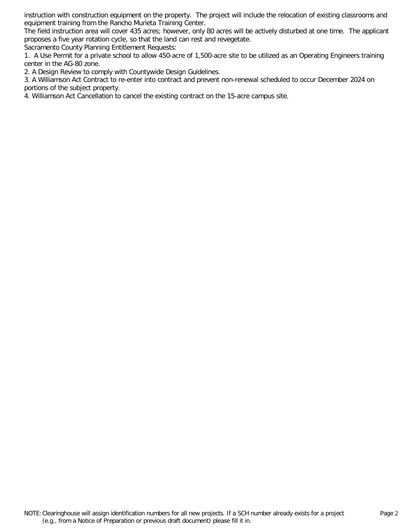instruction with construction equipment on the property. The project will include the relocation of existing classrooms and equipment training from the Rancho Murieta Training Center.

The field instruction area will cover 435 acres; however, only 80 acres will be actively disturbed at one time. The applicant proposes a five year rotation cycle, so that the land can rest and revegetate.

Sacramento County Planning Entitlement Requests:

1. A Use Permit for a private school to allow 450-acre of 1,500-acre site to be utilized as an Operating Engineers training center in the AG-80 zone.

2. A Design Review to comply with Countywide Design Guidelines.

3. A Williamson Act Contract to re-enter into contract and prevent non-renewal scheduled to occur December 2024 on portions of the subject property.

4. Williamson Act Cancellation to cancel the existing contract on the 15-acre campus site.